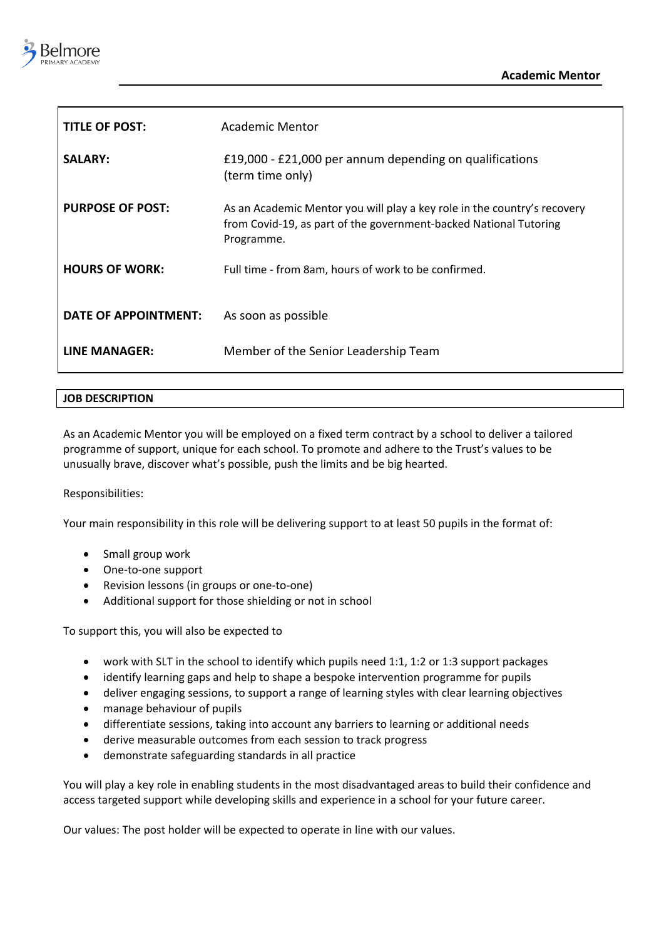

| <b>TITLE OF POST:</b>   | Academic Mentor                                                                                                                                             |
|-------------------------|-------------------------------------------------------------------------------------------------------------------------------------------------------------|
| <b>SALARY:</b>          | £19,000 - £21,000 per annum depending on qualifications<br>(term time only)                                                                                 |
| <b>PURPOSE OF POST:</b> | As an Academic Mentor you will play a key role in the country's recovery<br>from Covid-19, as part of the government-backed National Tutoring<br>Programme. |
| <b>HOURS OF WORK:</b>   | Full time - from 8am, hours of work to be confirmed.                                                                                                        |
| DATE OF APPOINTMENT:    | As soon as possible                                                                                                                                         |
| <b>LINE MANAGER:</b>    | Member of the Senior Leadership Team                                                                                                                        |

## **JOB DESCRIPTION**

As an Academic Mentor you will be employed on a fixed term contract by a school to deliver a tailored programme of support, unique for each school. To promote and adhere to the Trust's values to be unusually brave, discover what's possible, push the limits and be big hearted.

## Responsibilities:

Your main responsibility in this role will be delivering support to at least 50 pupils in the format of:

- Small group work
- One-to-one support
- Revision lessons (in groups or one-to-one)
- Additional support for those shielding or not in school

To support this, you will also be expected to

- work with SLT in the school to identify which pupils need 1:1, 1:2 or 1:3 support packages
- identify learning gaps and help to shape a bespoke intervention programme for pupils
- deliver engaging sessions, to support a range of learning styles with clear learning objectives
- manage behaviour of pupils
- differentiate sessions, taking into account any barriers to learning or additional needs
- derive measurable outcomes from each session to track progress
- demonstrate safeguarding standards in all practice

You will play a key role in enabling students in the most disadvantaged areas to build their confidence and access targeted support while developing skills and experience in a school for your future career.

Our values: The post holder will be expected to operate in line with our values.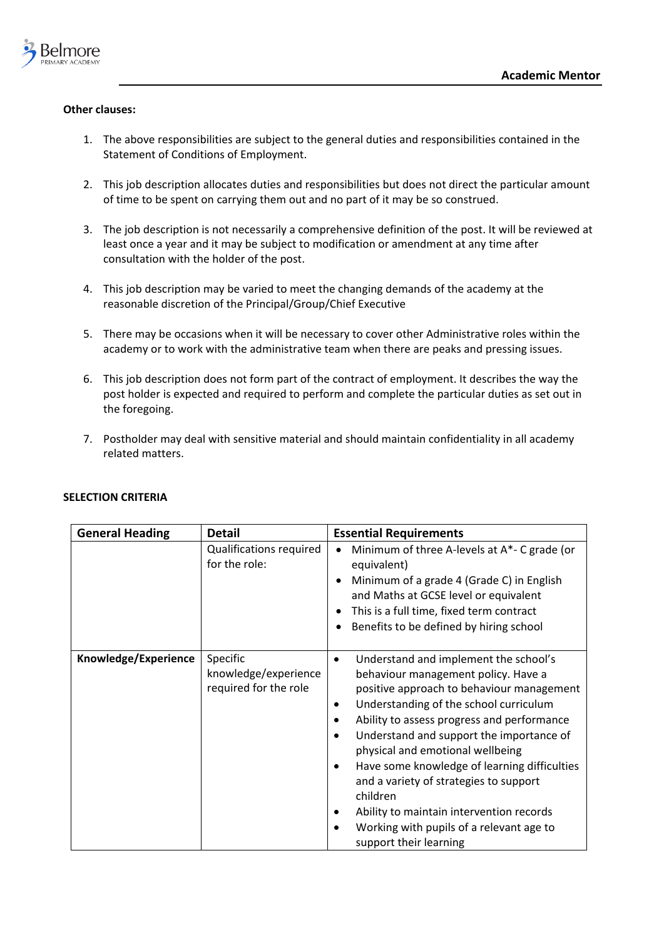

## **Other clauses:**

- 1. The above responsibilities are subject to the general duties and responsibilities contained in the Statement of Conditions of Employment.
- 2. This job description allocates duties and responsibilities but does not direct the particular amount of time to be spent on carrying them out and no part of it may be so construed.
- 3. The job description is not necessarily a comprehensive definition of the post. It will be reviewed at least once a year and it may be subject to modification or amendment at any time after consultation with the holder of the post.
- 4. This job description may be varied to meet the changing demands of the academy at the reasonable discretion of the Principal/Group/Chief Executive
- 5. There may be occasions when it will be necessary to cover other Administrative roles within the academy or to work with the administrative team when there are peaks and pressing issues.
- 6. This job description does not form part of the contract of employment. It describes the way the post holder is expected and required to perform and complete the particular duties as set out in the foregoing.
- 7. Postholder may deal with sensitive material and should maintain confidentiality in all academy related matters.

| <b>General Heading</b> | <b>Detail</b>                                             | <b>Essential Requirements</b>                                                                                                                                                                                                                                                                                                                                                                                                                                                                                                                                                                           |
|------------------------|-----------------------------------------------------------|---------------------------------------------------------------------------------------------------------------------------------------------------------------------------------------------------------------------------------------------------------------------------------------------------------------------------------------------------------------------------------------------------------------------------------------------------------------------------------------------------------------------------------------------------------------------------------------------------------|
|                        | Qualifications required<br>for the role:                  | Minimum of three A-levels at A*- C grade (or<br>equivalent)<br>Minimum of a grade 4 (Grade C) in English<br>and Maths at GCSE level or equivalent<br>This is a full time, fixed term contract<br>Benefits to be defined by hiring school                                                                                                                                                                                                                                                                                                                                                                |
| Knowledge/Experience   | Specific<br>knowledge/experience<br>required for the role | Understand and implement the school's<br>$\bullet$<br>behaviour management policy. Have a<br>positive approach to behaviour management<br>Understanding of the school curriculum<br>$\bullet$<br>Ability to assess progress and performance<br>$\bullet$<br>Understand and support the importance of<br>$\bullet$<br>physical and emotional wellbeing<br>Have some knowledge of learning difficulties<br>$\bullet$<br>and a variety of strategies to support<br>children<br>Ability to maintain intervention records<br>Working with pupils of a relevant age to<br>$\bullet$<br>support their learning |

## **SELECTION CRITERIA**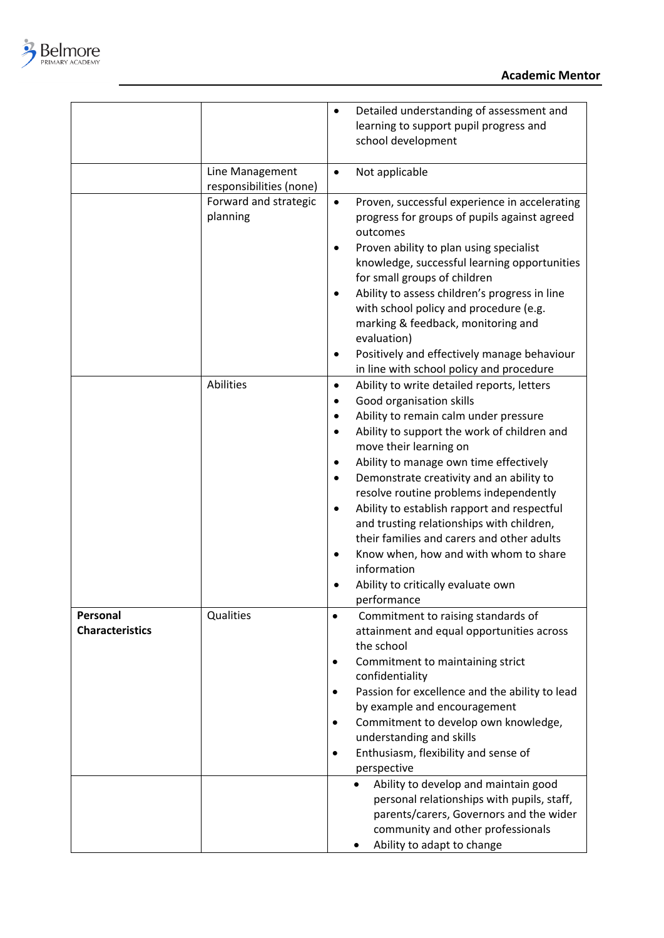

|                        |                         | Detailed understanding of assessment and<br>$\bullet$      |
|------------------------|-------------------------|------------------------------------------------------------|
|                        |                         | learning to support pupil progress and                     |
|                        |                         | school development                                         |
|                        |                         |                                                            |
|                        | Line Management         | Not applicable<br>$\bullet$                                |
|                        | responsibilities (none) |                                                            |
|                        | Forward and strategic   | Proven, successful experience in accelerating<br>$\bullet$ |
|                        | planning                | progress for groups of pupils against agreed               |
|                        |                         | outcomes                                                   |
|                        |                         | Proven ability to plan using specialist<br>٠               |
|                        |                         | knowledge, successful learning opportunities               |
|                        |                         | for small groups of children                               |
|                        |                         | Ability to assess children's progress in line              |
|                        |                         | with school policy and procedure (e.g.                     |
|                        |                         | marking & feedback, monitoring and<br>evaluation)          |
|                        |                         | Positively and effectively manage behaviour                |
|                        |                         | in line with school policy and procedure                   |
|                        | Abilities               | Ability to write detailed reports, letters<br>$\bullet$    |
|                        |                         | Good organisation skills                                   |
|                        |                         | Ability to remain calm under pressure<br>٠                 |
|                        |                         | Ability to support the work of children and<br>$\bullet$   |
|                        |                         | move their learning on                                     |
|                        |                         | Ability to manage own time effectively<br>٠                |
|                        |                         | Demonstrate creativity and an ability to<br>٠              |
|                        |                         | resolve routine problems independently                     |
|                        |                         | Ability to establish rapport and respectful<br>٠           |
|                        |                         | and trusting relationships with children,                  |
|                        |                         | their families and carers and other adults                 |
|                        |                         | Know when, how and with whom to share<br>٠                 |
|                        |                         | information                                                |
|                        |                         | Ability to critically evaluate own                         |
|                        |                         | performance                                                |
| Personal               | Qualities               | Commitment to raising standards of                         |
| <b>Characteristics</b> |                         | attainment and equal opportunities across                  |
|                        |                         | the school                                                 |
|                        |                         | Commitment to maintaining strict<br>confidentiality        |
|                        |                         | Passion for excellence and the ability to lead             |
|                        |                         | by example and encouragement                               |
|                        |                         | Commitment to develop own knowledge,                       |
|                        |                         | understanding and skills                                   |
|                        |                         | Enthusiasm, flexibility and sense of                       |
|                        |                         | perspective                                                |
|                        |                         | Ability to develop and maintain good                       |
|                        |                         | personal relationships with pupils, staff,                 |
|                        |                         | parents/carers, Governors and the wider                    |
|                        |                         | community and other professionals                          |
|                        |                         | Ability to adapt to change                                 |